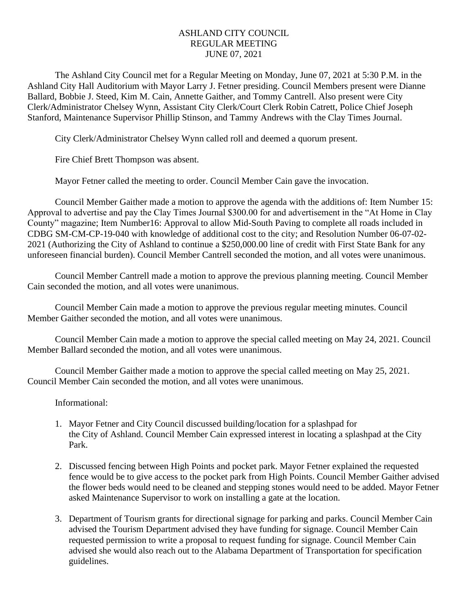## ASHLAND CITY COUNCIL REGULAR MEETING JUNE 07, 2021

The Ashland City Council met for a Regular Meeting on Monday, June 07, 2021 at 5:30 P.M. in the Ashland City Hall Auditorium with Mayor Larry J. Fetner presiding. Council Members present were Dianne Ballard, Bobbie J. Steed, Kim M. Cain, Annette Gaither, and Tommy Cantrell. Also present were City Clerk/Administrator Chelsey Wynn, Assistant City Clerk/Court Clerk Robin Catrett, Police Chief Joseph Stanford, Maintenance Supervisor Phillip Stinson, and Tammy Andrews with the Clay Times Journal.

City Clerk/Administrator Chelsey Wynn called roll and deemed a quorum present.

Fire Chief Brett Thompson was absent.

Mayor Fetner called the meeting to order. Council Member Cain gave the invocation.

Council Member Gaither made a motion to approve the agenda with the additions of: Item Number 15: Approval to advertise and pay the Clay Times Journal \$300.00 for and advertisement in the "At Home in Clay County" magazine; Item Number16: Approval to allow Mid-South Paving to complete all roads included in CDBG SM-CM-CP-19-040 with knowledge of additional cost to the city; and Resolution Number 06-07-02- 2021 (Authorizing the City of Ashland to continue a \$250,000.00 line of credit with First State Bank for any unforeseen financial burden). Council Member Cantrell seconded the motion, and all votes were unanimous.

Council Member Cantrell made a motion to approve the previous planning meeting. Council Member Cain seconded the motion, and all votes were unanimous.

Council Member Cain made a motion to approve the previous regular meeting minutes. Council Member Gaither seconded the motion, and all votes were unanimous.

Council Member Cain made a motion to approve the special called meeting on May 24, 2021. Council Member Ballard seconded the motion, and all votes were unanimous.

Council Member Gaither made a motion to approve the special called meeting on May 25, 2021. Council Member Cain seconded the motion, and all votes were unanimous.

## Informational:

- 1. Mayor Fetner and City Council discussed building/location for a splashpad for the City of Ashland. Council Member Cain expressed interest in locating a splashpad at the City Park.
- 2. Discussed fencing between High Points and pocket park. Mayor Fetner explained the requested fence would be to give access to the pocket park from High Points. Council Member Gaither advised the flower beds would need to be cleaned and stepping stones would need to be added. Mayor Fetner asked Maintenance Supervisor to work on installing a gate at the location.
- 3. Department of Tourism grants for directional signage for parking and parks. Council Member Cain advised the Tourism Department advised they have funding for signage. Council Member Cain requested permission to write a proposal to request funding for signage. Council Member Cain advised she would also reach out to the Alabama Department of Transportation for specification guidelines.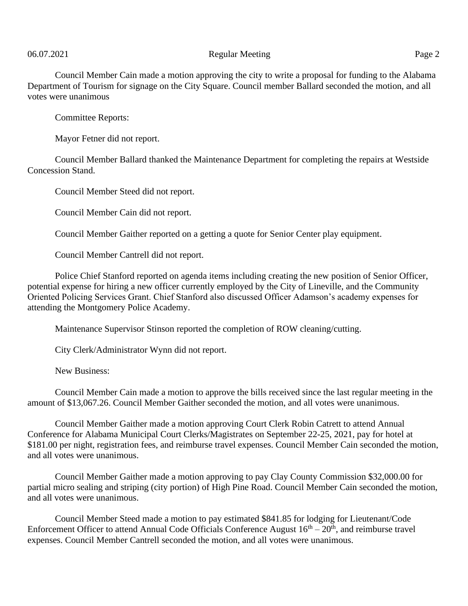## 06.07.2021 Page 2

Council Member Cain made a motion approving the city to write a proposal for funding to the Alabama Department of Tourism for signage on the City Square. Council member Ballard seconded the motion, and all votes were unanimous

Committee Reports:

Mayor Fetner did not report.

Council Member Ballard thanked the Maintenance Department for completing the repairs at Westside Concession Stand.

Council Member Steed did not report.

Council Member Cain did not report.

Council Member Gaither reported on a getting a quote for Senior Center play equipment.

Council Member Cantrell did not report.

Police Chief Stanford reported on agenda items including creating the new position of Senior Officer, potential expense for hiring a new officer currently employed by the City of Lineville, and the Community Oriented Policing Services Grant. Chief Stanford also discussed Officer Adamson's academy expenses for attending the Montgomery Police Academy.

Maintenance Supervisor Stinson reported the completion of ROW cleaning/cutting.

City Clerk/Administrator Wynn did not report.

New Business:

Council Member Cain made a motion to approve the bills received since the last regular meeting in the amount of \$13,067.26. Council Member Gaither seconded the motion, and all votes were unanimous.

Council Member Gaither made a motion approving Court Clerk Robin Catrett to attend Annual Conference for Alabama Municipal Court Clerks/Magistrates on September 22-25, 2021, pay for hotel at \$181.00 per night, registration fees, and reimburse travel expenses. Council Member Cain seconded the motion, and all votes were unanimous.

Council Member Gaither made a motion approving to pay Clay County Commission \$32,000.00 for partial micro sealing and striping (city portion) of High Pine Road. Council Member Cain seconded the motion, and all votes were unanimous.

Council Member Steed made a motion to pay estimated \$841.85 for lodging for Lieutenant/Code Enforcement Officer to attend Annual Code Officials Conference August  $16<sup>th</sup> - 20<sup>th</sup>$ , and reimburse travel expenses. Council Member Cantrell seconded the motion, and all votes were unanimous.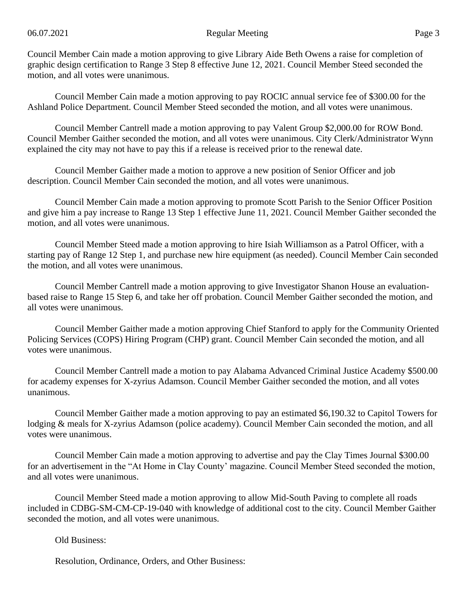Council Member Cain made a motion approving to give Library Aide Beth Owens a raise for completion of graphic design certification to Range 3 Step 8 effective June 12, 2021. Council Member Steed seconded the motion, and all votes were unanimous.

Council Member Cain made a motion approving to pay ROCIC annual service fee of \$300.00 for the Ashland Police Department. Council Member Steed seconded the motion, and all votes were unanimous.

Council Member Cantrell made a motion approving to pay Valent Group \$2,000.00 for ROW Bond. Council Member Gaither seconded the motion, and all votes were unanimous. City Clerk/Administrator Wynn explained the city may not have to pay this if a release is received prior to the renewal date.

Council Member Gaither made a motion to approve a new position of Senior Officer and job description. Council Member Cain seconded the motion, and all votes were unanimous.

Council Member Cain made a motion approving to promote Scott Parish to the Senior Officer Position and give him a pay increase to Range 13 Step 1 effective June 11, 2021. Council Member Gaither seconded the motion, and all votes were unanimous.

Council Member Steed made a motion approving to hire Isiah Williamson as a Patrol Officer, with a starting pay of Range 12 Step 1, and purchase new hire equipment (as needed). Council Member Cain seconded the motion, and all votes were unanimous.

Council Member Cantrell made a motion approving to give Investigator Shanon House an evaluationbased raise to Range 15 Step 6, and take her off probation. Council Member Gaither seconded the motion, and all votes were unanimous.

Council Member Gaither made a motion approving Chief Stanford to apply for the Community Oriented Policing Services (COPS) Hiring Program (CHP) grant. Council Member Cain seconded the motion, and all votes were unanimous.

Council Member Cantrell made a motion to pay Alabama Advanced Criminal Justice Academy \$500.00 for academy expenses for X-zyrius Adamson. Council Member Gaither seconded the motion, and all votes unanimous.

Council Member Gaither made a motion approving to pay an estimated \$6,190.32 to Capitol Towers for lodging & meals for X-zyrius Adamson (police academy). Council Member Cain seconded the motion, and all votes were unanimous.

Council Member Cain made a motion approving to advertise and pay the Clay Times Journal \$300.00 for an advertisement in the "At Home in Clay County' magazine. Council Member Steed seconded the motion, and all votes were unanimous.

Council Member Steed made a motion approving to allow Mid-South Paving to complete all roads included in CDBG-SM-CM-CP-19-040 with knowledge of additional cost to the city. Council Member Gaither seconded the motion, and all votes were unanimous.

Old Business:

Resolution, Ordinance, Orders, and Other Business: